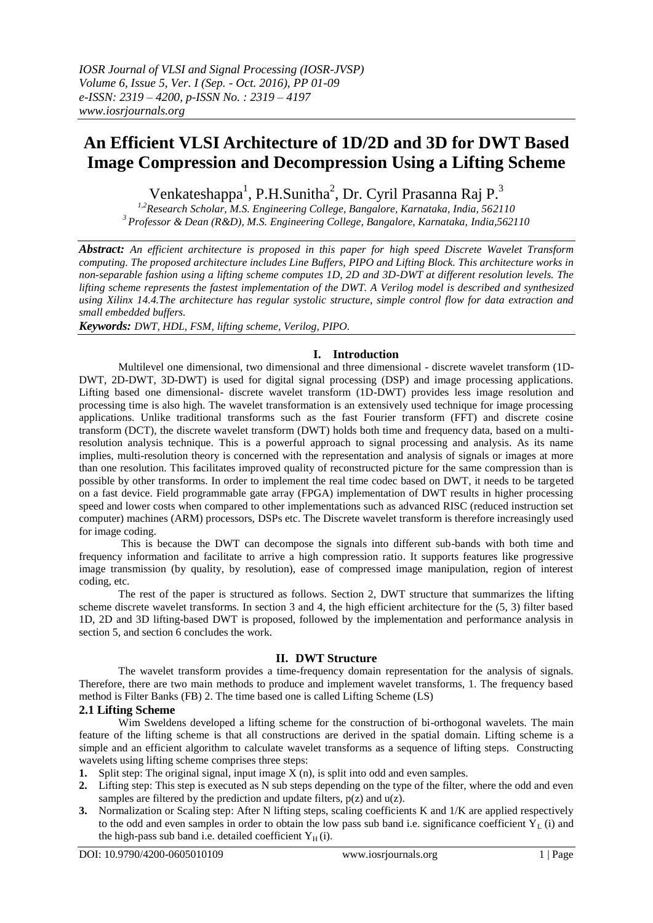# **An Efficient VLSI Architecture of 1D/2D and 3D for DWT Based Image Compression and Decompression Using a Lifting Scheme**

Venkateshappa<sup>1</sup>, P.H.Sunitha<sup>2</sup>, Dr. Cyril Prasanna Raj P.<sup>3</sup>

*1,2Research Scholar, M.S. Engineering College, Bangalore, Karnataka, India, 562110 <sup>3</sup>Professor & Dean (R&D), M.S. Engineering College, Bangalore, Karnataka, India,562110*

*Abstract: An efficient architecture is proposed in this paper for high speed Discrete Wavelet Transform computing. The proposed architecture includes Line Buffers, PIPO and Lifting Block. This architecture works in non-separable fashion using a lifting scheme computes 1D, 2D and 3D-DWT at different resolution levels. The lifting scheme represents the fastest implementation of the DWT. A Verilog model is described and synthesized using Xilinx 14.4.The architecture has regular systolic structure, simple control flow for data extraction and small embedded buffers.*

*Keywords: DWT, HDL, FSM, lifting scheme, Verilog, PIPO.*

### **I. Introduction**

Multilevel one dimensional, two dimensional and three dimensional - discrete wavelet transform (1D-DWT, 2D-DWT, 3D-DWT) is used for digital signal processing (DSP) and image processing applications. Lifting based one dimensional- discrete wavelet transform (1D-DWT) provides less image resolution and processing time is also high. The wavelet transformation is an extensively used technique for image processing applications. Unlike traditional transforms such as the fast Fourier transform (FFT) and discrete cosine transform (DCT), the discrete wavelet transform (DWT) holds both time and frequency data, based on a multiresolution analysis technique. This is a powerful approach to signal processing and analysis. As its name implies, multi-resolution theory is concerned with the representation and analysis of signals or images at more than one resolution. This facilitates improved quality of reconstructed picture for the same compression than is possible by other transforms. In order to implement the real time codec based on DWT, it needs to be targeted on a fast device. Field programmable gate array (FPGA) implementation of DWT results in higher processing speed and lower costs when compared to other implementations such as advanced RISC (reduced instruction set computer) machines (ARM) processors, DSPs etc. The Discrete wavelet transform is therefore increasingly used for image coding.

This is because the DWT can decompose the signals into different sub-bands with both time and frequency information and facilitate to arrive a high compression ratio. It supports features like progressive image transmission (by quality, by resolution), ease of compressed image manipulation, region of interest coding, etc.

The rest of the paper is structured as follows. Section 2, DWT structure that summarizes the lifting scheme discrete wavelet transforms. In section 3 and 4, the high efficient architecture for the (5, 3) filter based 1D, 2D and 3D lifting-based DWT is proposed, followed by the implementation and performance analysis in section 5, and section 6 concludes the work.

#### **II. DWT Structure**

The wavelet transform provides a time-frequency domain representation for the analysis of signals. Therefore, there are two main methods to produce and implement wavelet transforms, 1. The frequency based method is Filter Banks (FB) 2. The time based one is called Lifting Scheme (LS)

## **2.1 Lifting Scheme**

Wim Sweldens developed a lifting scheme for the construction of bi-orthogonal wavelets. The main feature of the lifting scheme is that all constructions are derived in the spatial domain. Lifting scheme is a simple and an efficient algorithm to calculate wavelet transforms as a sequence of lifting steps. Constructing wavelets using lifting scheme comprises three steps:

- **1.** Split step: The original signal, input image X (n), is split into odd and even samples.
- **2.** Lifting step: This step is executed as N sub steps depending on the type of the filter, where the odd and even samples are filtered by the prediction and update filters,  $p(z)$  and  $u(z)$ .
- **3.** Normalization or Scaling step: After N lifting steps, scaling coefficients K and 1/K are applied respectively to the odd and even samples in order to obtain the low pass sub band i.e. significance coefficient  $Y_L$  (i) and the high-pass sub band i.e. detailed coefficient  $Y_H(i)$ .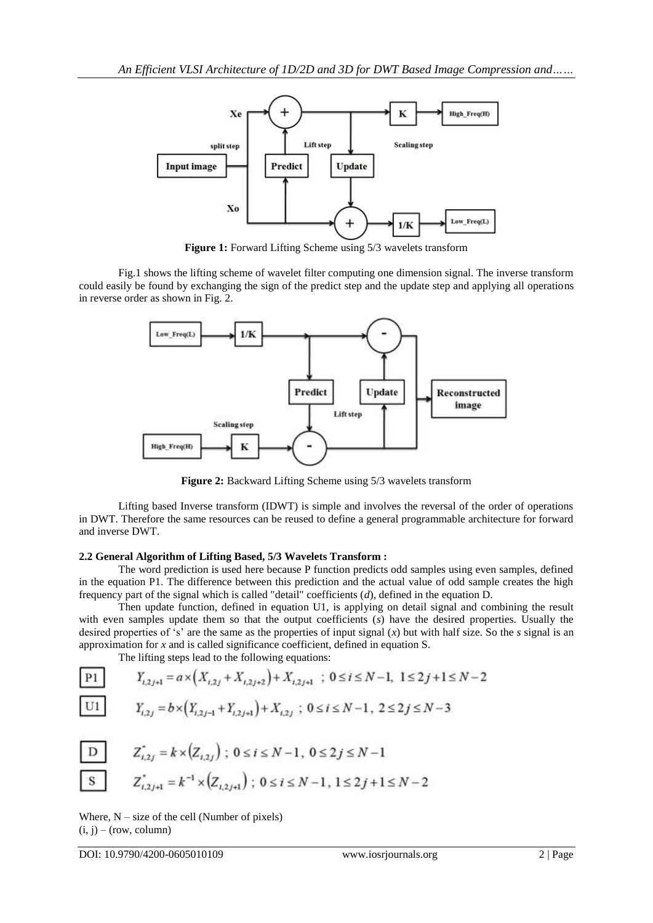

**Figure 1:** Forward Lifting Scheme using 5/3 wavelets transform

Fig.1 shows the lifting scheme of wavelet filter computing one dimension signal. The inverse transform could easily be found by exchanging the sign of the predict step and the update step and applying all operations in reverse order as shown in Fig. 2.



**Figure 2:** Backward Lifting Scheme using 5/3 wavelets transform

Lifting based Inverse transform (IDWT) is simple and involves the reversal of the order of operations in DWT. Therefore the same resources can be reused to define a general programmable architecture for forward and inverse DWT.

#### **2.2 General Algorithm of Lifting Based, 5/3 Wavelets Transform :**

The word prediction is used here because P function predicts odd samples using even samples, defined in the equation P1. The difference between this prediction and the actual value of odd sample creates the high frequency part of the signal which is called "detail" coefficients (*d*), defined in the equation D.

Then update function, defined in equation U1, is applying on detail signal and combining the result with even samples update them so that the output coefficients (s) have the desired properties. Usually the desired properties of 's' are the same as the properties of input signal  $(x)$  but with half size. So the *s* signal is an approximation for *x* and is called significance coefficient, defined in equation S.

The lifting steps lead to the following equations:

| P1 | $Y_{i,2j+1} = a \times \left( X_{i,2j} + X_{i,2j+2} \right) + X_{i,2j+1}$ | ; $0 \le i \le N-1, 1 \le 2j+1 \le N-2$ |
|----|---------------------------------------------------------------------------|-----------------------------------------|
| U1 | $Y_{i,2j} = b \times \left( Y_{i,2j-1} + Y_{i,2j+1} \right) + X_{i,2j}$   | ; $0 \le i \le N-1, 2 \le 2j \le N-3$   |

| D | $Z_{i,2j}^* = k \times (Z_{i,2j})$ ; $0 \le i \le N-1$ , $0 \le 2j \le N-1$            |
|---|----------------------------------------------------------------------------------------|
| S | $Z_{i,2j+1}^* = k^{-1} \times (Z_{i,2j+1})$ ; $0 \le i \le N-1$ , $1 \le 2j+1 \le N-2$ |

Where,  $N - size$  of the cell (Number of pixels)  $(i, j)$  – (row, column)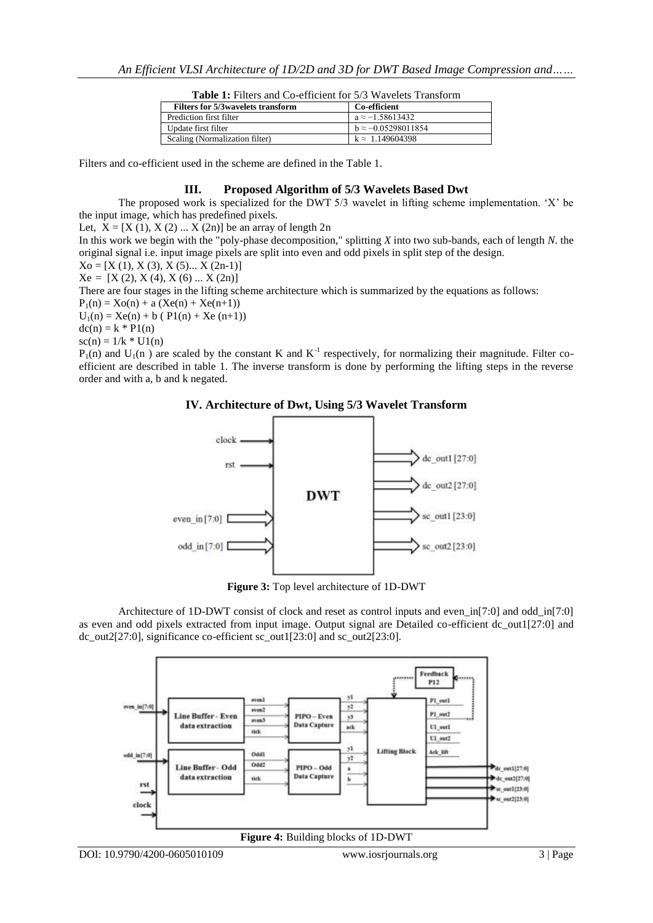| <b>THURE I</b> . I HIGHS and CO CHICICIII TOL 2/2 THAY CIGG THANSIONIN |                            |  |  |  |  |  |  |  |  |
|------------------------------------------------------------------------|----------------------------|--|--|--|--|--|--|--|--|
| <b>Filters for 5/3 wavelets transform</b>                              | Co-efficient               |  |  |  |  |  |  |  |  |
| Prediction first filter                                                | $a \approx -1.58613432$    |  |  |  |  |  |  |  |  |
| Update first filter                                                    | $b \approx -0.05298011854$ |  |  |  |  |  |  |  |  |
| Scaling (Normalization filter)                                         | $k \approx 1.149604398$    |  |  |  |  |  |  |  |  |

**Table 1:** Filters and Co-efficient for 5/3 Wavelets Transform

Filters and co-efficient used in the scheme are defined in the Table 1.

#### **III. Proposed Algorithm of 5/3 Wavelets Based Dwt**

The proposed work is specialized for the DWT 5/3 wavelet in lifting scheme implementation. "X" be the input image, which has predefined pixels.

Let,  $X = [X (1), X (2) \dots X (2n)]$  be an array of length 2n

In this work we begin with the "poly-phase decomposition," splitting *X* into two sub-bands, each of length *N*. the original signal i.e. input image pixels are split into even and odd pixels in split step of the design.

 $Xo = [X (1), X (3), X (5) ... X (2n-1)]$ 

 $Xe = [X (2), X (4), X (6) ... X (2n)]$ 

There are four stages in the lifting scheme architecture which is summarized by the equations as follows:

 $P_1(n) = Xo(n) + a (Xe(n) + Xe(n+1))$ 

 $U_1(n) = Xe(n) + b (P1(n) + Xe (n+1))$ 

 $dc(n) = k * P1(n)$ 

 $sc(n) = 1/k * U1(n)$ 

 $P_1(n)$  and  $U_1(n)$  are scaled by the constant K and  $K^{-1}$  respectively, for normalizing their magnitude. Filter coefficient are described in table 1. The inverse transform is done by performing the lifting steps in the reverse order and with a, b and k negated.





**Figure 3:** Top level architecture of 1D-DWT

Architecture of 1D-DWT consist of clock and reset as control inputs and even\_in[7:0] and odd\_in[7:0] as even and odd pixels extracted from input image. Output signal are Detailed co-efficient dc\_out1[27:0] and dc\_out2[27:0], significance co-efficient sc\_out1[23:0] and sc\_out2[23:0].

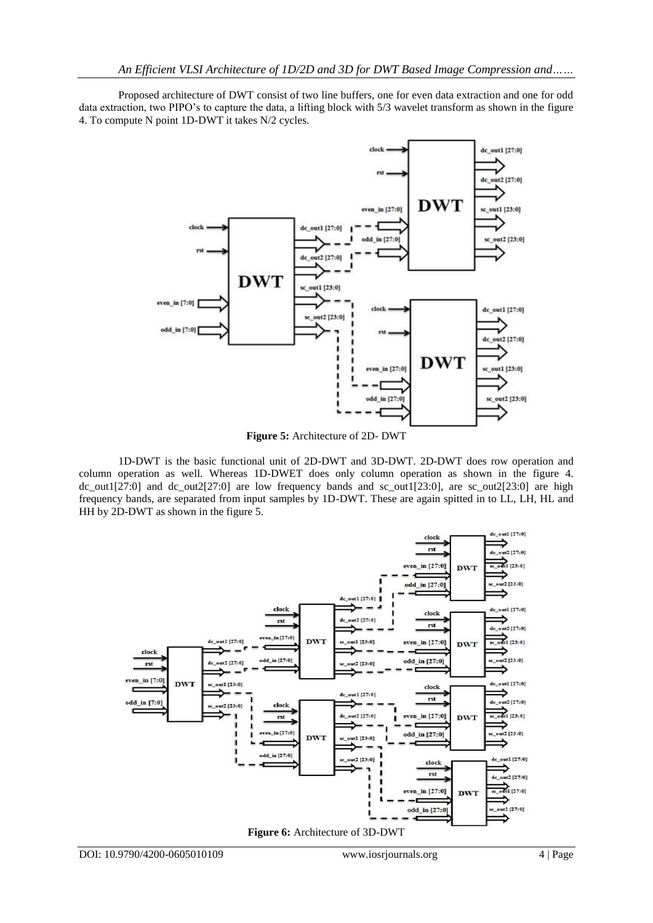Proposed architecture of DWT consist of two line buffers, one for even data extraction and one for odd data extraction, two PIPO"s to capture the data, a lifting block with 5/3 wavelet transform as shown in the figure 4. To compute N point 1D-DWT it takes N/2 cycles.



**Figure 5:** Architecture of 2D- DWT

1D-DWT is the basic functional unit of 2D-DWT and 3D-DWT. 2D-DWT does row operation and column operation as well. Whereas 1D-DWET does only column operation as shown in the figure 4. dc\_out1[27:0] and dc\_out2[27:0] are low frequency bands and sc\_out1[23:0], are sc\_out2[23:0] are high frequency bands, are separated from input samples by 1D-DWT. These are again spitted in to LL, LH, HL and HH by 2D-DWT as shown in the figure 5.



**Figure 6:** Architecture of 3D-DWT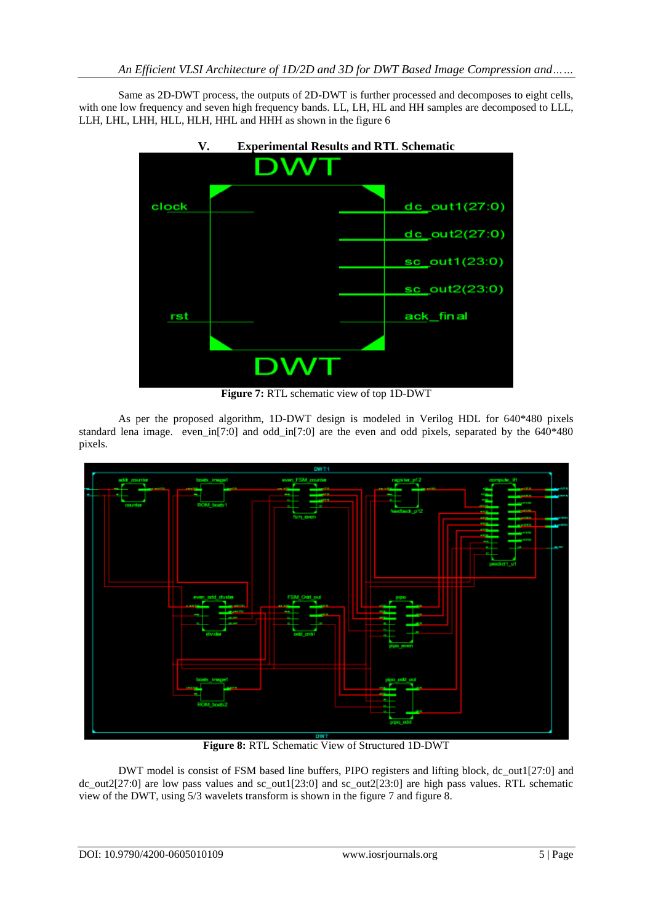Same as 2D-DWT process, the outputs of 2D-DWT is further processed and decomposes to eight cells, with one low frequency and seven high frequency bands. LL, LH, HL and HH samples are decomposed to LLL, LLH, LHL, LHH, HLL, HLH, HHL and HHH as shown in the figure 6



**Figure 7:** RTL schematic view of top 1D-DWT

As per the proposed algorithm, 1D-DWT design is modeled in Verilog HDL for 640\*480 pixels standard lena image. even\_in[7:0] and odd\_in[7:0] are the even and odd pixels, separated by the 640\*480 pixels.



**Figure 8:** RTL Schematic View of Structured 1D-DWT

DWT model is consist of FSM based line buffers, PIPO registers and lifting block, dc\_out1[27:0] and dc\_out2[27:0] are low pass values and sc\_out1[23:0] and sc\_out2[23:0] are high pass values. RTL schematic view of the DWT, using 5/3 wavelets transform is shown in the figure 7 and figure 8.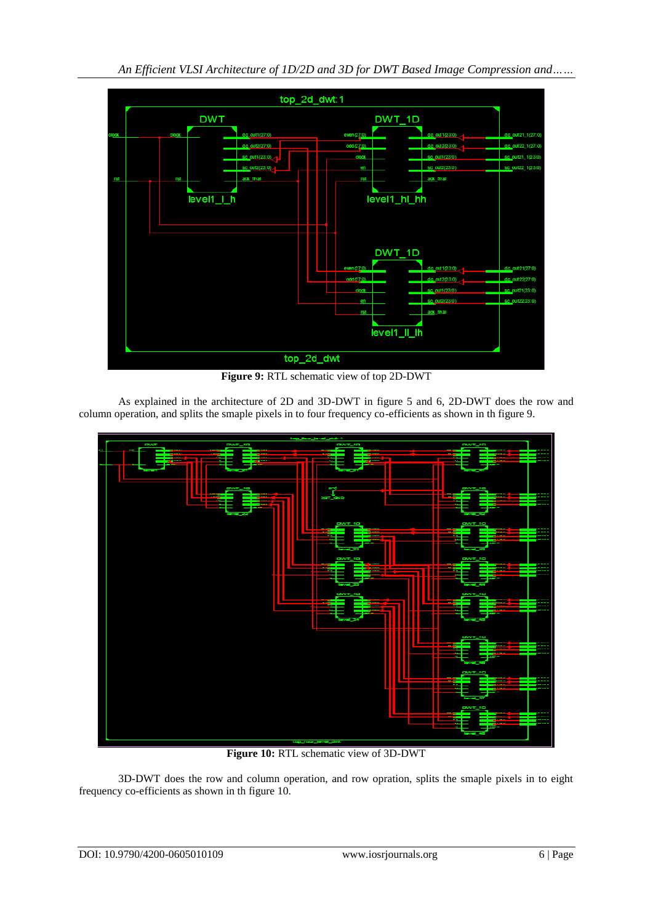

**Figure 9:** RTL schematic view of top 2D-DWT

As explained in the architecture of 2D and 3D-DWT in figure 5 and 6, 2D-DWT does the row and column operation, and splits the smaple pixels in to four frequency co-efficients as shown in th figure 9.



**Figure 10:** RTL schematic view of 3D-DWT

3D-DWT does the row and column operation, and row opration, splits the smaple pixels in to eight frequency co-efficients as shown in th figure 10.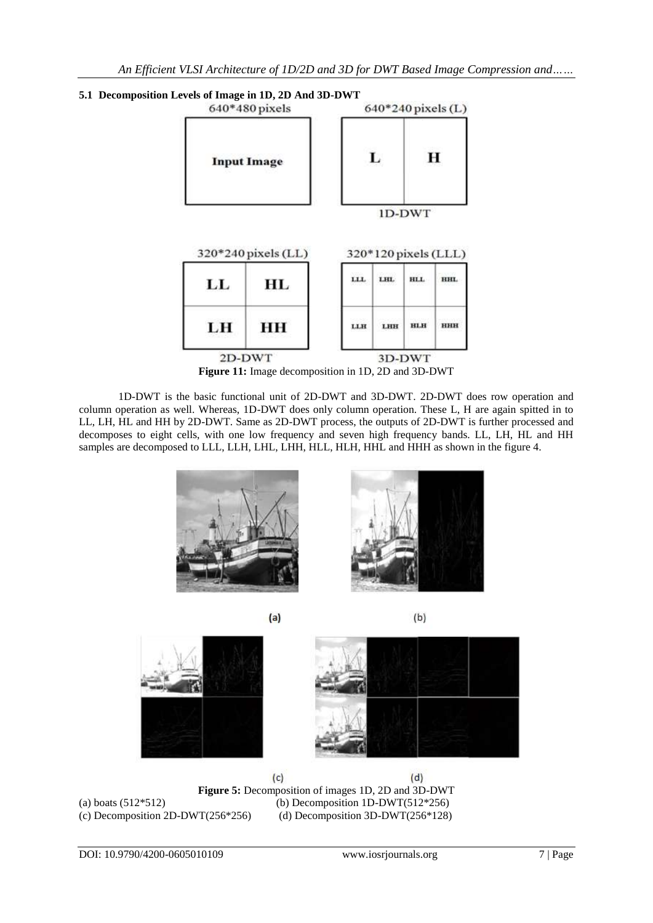

1D-DWT is the basic functional unit of 2D-DWT and 3D-DWT. 2D-DWT does row operation and column operation as well. Whereas, 1D-DWT does only column operation. These L, H are again spitted in to LL, LH, HL and HH by 2D-DWT. Same as 2D-DWT process, the outputs of 2D-DWT is further processed and decomposes to eight cells, with one low frequency and seven high frequency bands. LL, LH, HL and HH samples are decomposed to LLL, LLH, LHL, LHH, HLL, HLH, HHL and HHH as shown in the figure 4.





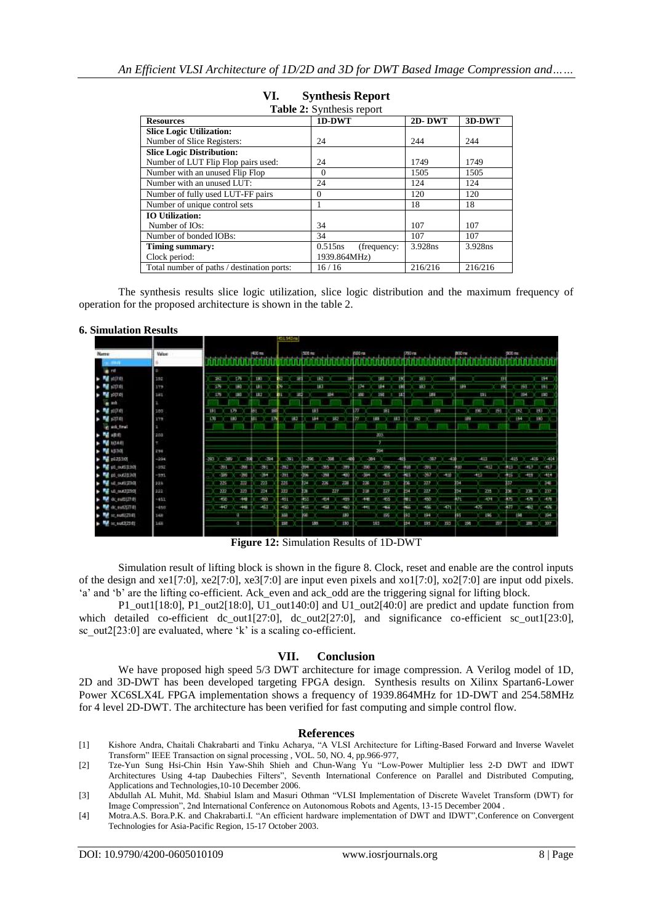| <b>Table 2:</b> Synthesis report           |                        |         |         |  |  |  |  |  |  |  |  |
|--------------------------------------------|------------------------|---------|---------|--|--|--|--|--|--|--|--|
| <b>Resources</b>                           | 1D-DWT                 | 2D-DWT  | 3D-DWT  |  |  |  |  |  |  |  |  |
| <b>Slice Logic Utilization:</b>            |                        |         |         |  |  |  |  |  |  |  |  |
| Number of Slice Registers:                 | 24                     | 244     | 244     |  |  |  |  |  |  |  |  |
| <b>Slice Logic Distribution:</b>           |                        |         |         |  |  |  |  |  |  |  |  |
| Number of LUT Flip Flop pairs used:        | 24                     | 1749    | 1749    |  |  |  |  |  |  |  |  |
| Number with an unused Flip Flop            | $\theta$               | 1505    | 1505    |  |  |  |  |  |  |  |  |
| Number with an unused LUT:                 | 24                     | 124     | 124     |  |  |  |  |  |  |  |  |
| Number of fully used LUT-FF pairs          | 0                      | 120     | 120     |  |  |  |  |  |  |  |  |
| Number of unique control sets              |                        | 18      | 18      |  |  |  |  |  |  |  |  |
| <b>IO Utilization:</b>                     |                        |         |         |  |  |  |  |  |  |  |  |
| Number of IO <sub>s</sub> :                | 34                     | 107     | 107     |  |  |  |  |  |  |  |  |
| Number of bonded IOBs:                     | 34                     | 107     | 107     |  |  |  |  |  |  |  |  |
| Timing summary:                            | 0.515ns<br>(frequency: | 3.928ns | 3.928ns |  |  |  |  |  |  |  |  |
| Clock period:                              | 1939.864MHz)           |         |         |  |  |  |  |  |  |  |  |
| Total number of paths / destination ports: | 16/16                  | 216/216 | 216/216 |  |  |  |  |  |  |  |  |

# **VI. Synthesis Report**

The synthesis results slice logic utilization, slice logic distribution and the maximum frequency of operation for the proposed architecture is shown in the table 2.

#### **6. Simulation Results**

|                                                                                                                   |        |                |        |              |            |            | HEL943m)   |               |             |        |              |                |            |                 |      |      |               |            |                   |             |     |               |            |                      |  |
|-------------------------------------------------------------------------------------------------------------------|--------|----------------|--------|--------------|------------|------------|------------|---------------|-------------|--------|--------------|----------------|------------|-----------------|------|------|---------------|------------|-------------------|-------------|-----|---------------|------------|----------------------|--|
| Narre                                                                                                             | Value  |                |        |              | <b>ME</b>  |            |            | <b>100 mg</b> |             |        |              | <b>K600 rm</b> |            |                 |      | 700m |               |            | BOO <sub>TH</sub> |             |     | <b>900 mg</b> |            |                      |  |
| $-11$                                                                                                             |        |                |        |              |            |            |            |               |             |        |              |                |            |                 |      |      |               |            |                   |             |     |               |            |                      |  |
| light roll                                                                                                        | D.     |                |        |              |            |            |            |               |             |        |              |                |            |                 |      |      |               |            |                   |             |     |               |            |                      |  |
| <b>NE</b> you're                                                                                                  | IM     |                | 281    | <b>C/B</b>   | 180        |            |            | - 31          | 182         |        | 184          |                | 180        |                 | 150  | ۰    | 183           | 189        |                   |             | вı  |               |            | <b>THE</b>           |  |
| $\frac{1}{2}$ <b>N</b> $(20.0)$                                                                                   | 379    |                | 5N     | (6)          | hai        |            | h.         |               | 143         |        |              | $-174$         | 164        |                 | tiki |      | 48.3          |            | 189               |             |     |               | 69         | 141                  |  |
| $\blacktriangleright$ $\blacksquare$ $\rightharpoonup$ $\uparrow$                                                 | 141    |                | 176    | EBO          | 187        |            |            | 40            |             | 334    |              | 300            | 290        |                 | ш    |      | <b>Leg</b>    |            |                   | <b>ISL</b>  |     |               | 594        | 190                  |  |
| in act.                                                                                                           |        |                |        |              |            |            |            |               |             |        |              |                |            |                 |      |      |               |            |                   |             |     |               |            |                      |  |
| $\rightarrow$ M $(10.0)$                                                                                          | 180    | $+111$         |        | 1.79         | ĦТ         | <b>TOP</b> |            |               | <b>TES</b>  |        |              |                |            | <b>BST</b>      |      |      |               | 194        |                   | 190         | 291 | 792           |            | 133                  |  |
| $- 44.12241$                                                                                                      | 179    | 170            |        | <b>LBO</b>   |            |            | 182        |               | 194         | 187    |              | l M            | <b>LES</b> | HB <sub>3</sub> |      | Ho-  |               |            |                   | 189         |     |               | i 64       | 190                  |  |
| le art fruit                                                                                                      |        |                |        |              |            |            |            |               |             |        |              |                |            |                 |      |      |               |            |                   |             |     |               |            |                      |  |
| > W 10:0                                                                                                          | 203    |                |        |              |            |            |            |               |             |        |              |                | 203        |                 |      |      |               |            |                   |             |     |               |            |                      |  |
| $\blacktriangleright$ $\blacksquare$ $\blacksquare$                                                               |        |                |        |              |            |            |            |               |             |        |              |                |            |                 |      |      |               |            |                   |             |     |               |            |                      |  |
| $\blacktriangleright$ <b>N</b> 1530                                                                               | 2394   |                |        |              |            |            |            |               |             |        |              |                | 394        |                 |      |      |               |            |                   |             |     |               |            |                      |  |
| $\rightarrow$ $\frac{m}{2}$ p0.23.343                                                                             | $-204$ | <b>COLLEGE</b> | $-369$ | $-300$       |            | $-34$      | 391        | -396          |             | $-300$ | $-400$       |                | -384       |                 | 40   |      | $-387$        | 400        |                   | 423         |     | 48            | m          | 1448<br>$-415$       |  |
| $\blacktriangleright$ $\blacksquare$ of $\omega$ and $\uparrow$ 300                                               | $-300$ |                | 391    | $-200$       | 391        |            | <b>SKE</b> | <b>ODR</b>    | $-395$      |        | -399         | 300            |            | 3%              |      |      | <b>OUT</b>    |            | תנ                | <b>HOLD</b> |     | 413           | $-0.7$     | нU                   |  |
| $\blacktriangleright$ $\blacksquare$ pd. out 25301                                                                | $-201$ |                | -36    | -30          | 134        |            | - 141      | a.            | <b>City</b> |        | $-0.0$       | -lin           |            | 46              |      |      | -37           | ent        |                   | ЭÚ          |     |               | $-114$     | <b>HIS</b>           |  |
| <b>M</b> ut out 210                                                                                               | 329    |                | 325    | 233          | 223        |            | 121        | 134           | 226         |        | 1208         | 206            |            | 323             | CG.  |      | 337           |            | 04                |             |     | 17            |            | 340                  |  |
| $\blacktriangleright$ $\blacksquare$ of $1230$                                                                    | 322    |                | 222    | 223          | 224        |            | 223        | 'nл           |             | 227    |              | 12             |            | 227             | bм   |      | 227           |            | ÌЭE               | 235         |     | 10E           | 220        | 237                  |  |
| <b>M</b> dc est(27.0)                                                                                             | $-463$ |                | $-450$ | <b>Teles</b> | $-60$      |            | 451        | HK1           | -64         |        | $-459$       | $+$            |            | 455             | m.   |      | 480           |            | Uτ                | 10,000      |     | 475           | 当作         | 1479                 |  |
| <b>W</b> dc.set2(2) 将                                                                                             | $-480$ |                | $+6$   | ÷.           | <b>AGE</b> |            | $\sim$     | ùБ            | $-1$        |        | <b>Septi</b> | m              |            | $\rightarrow$   |      |      | $\frac{1}{2}$ | <b>SPR</b> |                   | $+15$       |     |               | esi i      | $\rightarrow \infty$ |  |
| <b>W</b> at autit210                                                                                              | 148    |                |        | a            |            |            | 100        | w             |             |        | <b>LBO</b>   |                |            | 195             | ka   |      | 194           |            | sс                | 196         |     |               | <b>Jua</b> | 394                  |  |
| $\blacktriangleright$ $\blacksquare$ $\times$ $\uparrow$ $\downarrow$ $\uparrow$ $\uparrow$ $\uparrow$ $\uparrow$ | 1,68   |                |        | œ            |            |            | 150        |               | 185         |        | $-130$       |                | 193        |                 |      | 54   | 135           | 293        |                   | 198         | 207 |               | 203        | 327                  |  |
|                                                                                                                   |        |                |        |              |            |            |            |               |             |        |              |                |            |                 |      |      |               |            |                   |             |     |               |            |                      |  |

**Figure 12:** Simulation Results of 1D-DWT

Simulation result of lifting block is shown in the figure 8. Clock, reset and enable are the control inputs of the design and xe1[7:0], xe2[7:0], xe3[7:0] are input even pixels and xo1[7:0], xo2[7:0] are input odd pixels. "a" and "b" are the lifting co-efficient. Ack\_even and ack\_odd are the triggering signal for lifting block.

P1\_out1[18:0], P1\_out2[18:0], U1\_out140:0] and U1\_out2[40:0] are predict and update function from which detailed co-efficient dc\_out1[27:0], dc\_out2[27:0], and significance co-efficient sc\_out1[23:0], sc  $out2[23:0]$  are evaluated, where 'k' is a scaling co-efficient.

#### **VII. Conclusion**

We have proposed high speed 5/3 DWT architecture for image compression. A Verilog model of 1D, 2D and 3D-DWT has been developed targeting FPGA design. Synthesis results on Xilinx Spartan6-Lower Power XC6SLX4L FPGA implementation shows a frequency of 1939.864MHz for 1D-DWT and 254.58MHz for 4 level 2D-DWT. The architecture has been verified for fast computing and simple control flow.

#### **References**

- [1] Kishore Andra, Chaitali Chakrabarti and Tinku Acharya, "A VLSI Architecture for Lifting-Based Forward and Inverse Wavelet Transform" IEEE Transaction on signal processing , VOL. 50, NO. 4, pp.966-977,
- [2] Tze-Yun Sung Hsi-Chin Hsin Yaw-Shih Shieh and Chun-Wang Yu "Low-Power Multiplier less 2-D DWT and IDWT Architectures Using 4-tap Daubechies Filters", Seventh International Conference on Parallel and Distributed Computing, Applications and Technologies,10-10 December 2006.
- [3] Abdullah AL Muhit, Md. Shabiul Islam and Masuri Othman "VLSI Implementation of Discrete Wavelet Transform (DWT) for Image Compression", 2nd International Conference on Autonomous Robots and Agents, 13-15 December 2004 .
- [4] Motra.A.S. Bora.P.K. and Chakrabarti.I. "An efficient hardware implementation of DWT and IDWT",Conference on Convergent Technologies for Asia-Pacific Region, 15-17 October 2003.